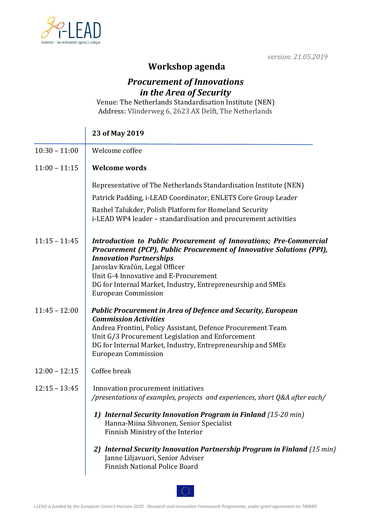

Ŷ.

*version: 21.05.2019*

## **Workshop agenda**

## *Procurement of Innovations in the Area of Security*

Venue: The Netherlands Standardisation Institute (NEN) Address: Vlinderweg 6, 2623 AX Delft, The Netherlands

|                 | 23 of May 2019                                                                                                                                                                                                                                                                                                                                      |
|-----------------|-----------------------------------------------------------------------------------------------------------------------------------------------------------------------------------------------------------------------------------------------------------------------------------------------------------------------------------------------------|
| $10:30 - 11:00$ | Welcome coffee                                                                                                                                                                                                                                                                                                                                      |
| $11:00 - 11:15$ | <b>Welcome words</b>                                                                                                                                                                                                                                                                                                                                |
|                 | Representative of The Netherlands Standardisation Institute (NEN)                                                                                                                                                                                                                                                                                   |
|                 | Patrick Padding, i-LEAD Coordinator, ENLETS Core Group Leader                                                                                                                                                                                                                                                                                       |
|                 | Rashel Talukder, Polish Platform for Homeland Security<br>i-LEAD WP4 leader - standardisation and procurement activities                                                                                                                                                                                                                            |
| $11:15 - 11:45$ | Introduction to Public Procurement of Innovations; Pre-Commercial<br>Procurement (PCP), Public Procurement of Innovative Solutions (PPI),<br><b>Innovation Partnerships</b><br>Jaroslav Kračún, Legal Officer<br>Unit G-4 Innovative and E-Procurement<br>DG for Internal Market, Industry, Entrepreneurship and SMEs<br><b>European Commission</b> |
| $11:45 - 12:00$ | <b>Public Procurement in Area of Defence and Security, European</b><br><b>Commission Activities</b><br>Andrea Frontini, Policy Assistant, Defence Procurement Team<br>Unit G/3 Procurement Legislation and Enforcement<br>DG for Internal Market, Industry, Entrepreneurship and SMEs<br><b>European Commission</b>                                 |
| $12:00 - 12:15$ | Coffee break                                                                                                                                                                                                                                                                                                                                        |
| $12:15 - 13:45$ | Innovation procurement initiatives<br>/presentations of examples, projects and experiences, short Q&A after each/                                                                                                                                                                                                                                   |
|                 | 1) Internal Security Innovation Program in Finland (15-20 min)<br>Hanna-Miina Sihvonen, Senior Specialist<br>Finnish Ministry of the Interior                                                                                                                                                                                                       |
|                 | 2) Internal Security Innovation Partnership Program in Finland (15 min)<br>Janne Liljavuori, Senior Adviser<br>Finnish National Police Board                                                                                                                                                                                                        |